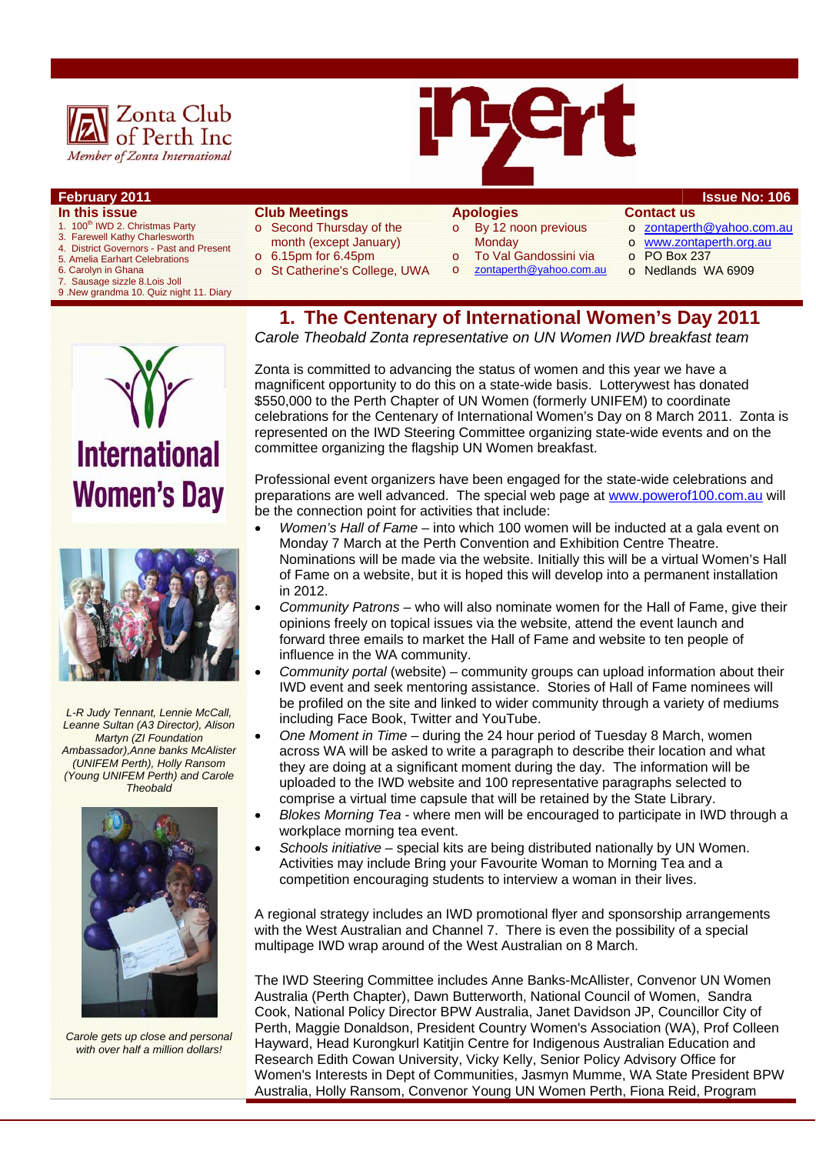



### **February 2011 ISSUE NO: 106**

- **In this issue**
- 1. 100<sup>th</sup> IWD 2. Christmas Party
- 3. Farewell Kathy Charlesworth 4. District Governors - Past and Present
- 5. Amelia Earhart Celebrations
- 
- 6. Carolyn in Ghana<br>7. Sausage sizzle 8 Sausage sizzle 8.Lois Joll
- 9 .New grandma 10. Quiz night 11. Diary

#### **Club Meetings**

- o Second Thursday of the
	- month (except January)
- $\circ$  6.15pm for 6.45pm
- o St Catherine's College, UWA

## **Apologies**

- o By 12 noon previous **Monday**
- 
- To Val Gandossini via zontaperth@yahoo.com.au
- o PO Box 237

**Contact us** 

o Nedlands WA 6909

o zontaperth@yahoo.com.au o www.zontaperth.org.au

**1. The Centenary of International Women's Day 2011**  *Carole Theobald Zonta representative on UN Women IWD breakfast team* 

**International Women's Day** 



*L-R Judy Tennant, Lennie McCall, Leanne Sultan (A3 Director), Alison Martyn (ZI Foundation Ambassador),Anne banks McAlister (UNIFEM Perth), Holly Ransom (Young UNIFEM Perth) and Carole Theobald* 



*Carole gets up close and personal with over half a million dollars!* 

Zonta is committed to advancing the status of women and this year we have a magnificent opportunity to do this on a state-wide basis. Lotterywest has donated \$550,000 to the Perth Chapter of UN Women (formerly UNIFEM) to coordinate celebrations for the Centenary of International Women's Day on 8 March 2011. Zonta is represented on the IWD Steering Committee organizing state-wide events and on the

Professional event organizers have been engaged for the state-wide celebrations and preparations are well advanced. The special web page at www.powerof100.com.au will be the connection point for activities that include:

committee organizing the flagship UN Women breakfast.

- *Women's Hall of Fame* into which 100 women will be inducted at a gala event on Monday 7 March at the Perth Convention and Exhibition Centre Theatre. Nominations will be made via the website. Initially this will be a virtual Women's Hall of Fame on a website, but it is hoped this will develop into a permanent installation in 2012.
- *Community Patrons* who will also nominate women for the Hall of Fame, give their opinions freely on topical issues via the website, attend the event launch and forward three emails to market the Hall of Fame and website to ten people of influence in the WA community.
- *Community portal* (website) community groups can upload information about their IWD event and seek mentoring assistance. Stories of Hall of Fame nominees will be profiled on the site and linked to wider community through a variety of mediums including Face Book, Twitter and YouTube.
- *One Moment in Time* during the 24 hour period of Tuesday 8 March, women across WA will be asked to write a paragraph to describe their location and what they are doing at a significant moment during the day. The information will be uploaded to the IWD website and 100 representative paragraphs selected to comprise a virtual time capsule that will be retained by the State Library.
- *Blokes Morning Tea* where men will be encouraged to participate in IWD through a workplace morning tea event.
- *Schools initiative* special kits are being distributed nationally by UN Women. Activities may include Bring your Favourite Woman to Morning Tea and a competition encouraging students to interview a woman in their lives.

A regional strategy includes an IWD promotional flyer and sponsorship arrangements with the West Australian and Channel 7. There is even the possibility of a special multipage IWD wrap around of the West Australian on 8 March.

The IWD Steering Committee includes Anne Banks-McAllister, Convenor UN Women Australia (Perth Chapter), Dawn Butterworth, National Council of Women, Sandra Cook, National Policy Director BPW Australia, Janet Davidson JP, Councillor City of Perth, Maggie Donaldson, President Country Women's Association (WA), Prof Colleen Hayward, Head Kurongkurl Katitjin Centre for Indigenous Australian Education and Research Edith Cowan University, Vicky Kelly, Senior Policy Advisory Office for Women's Interests in Dept of Communities, Jasmyn Mumme, WA State President BPW Australia, Holly Ransom, Convenor Young UN Women Perth, Fiona Reid, Program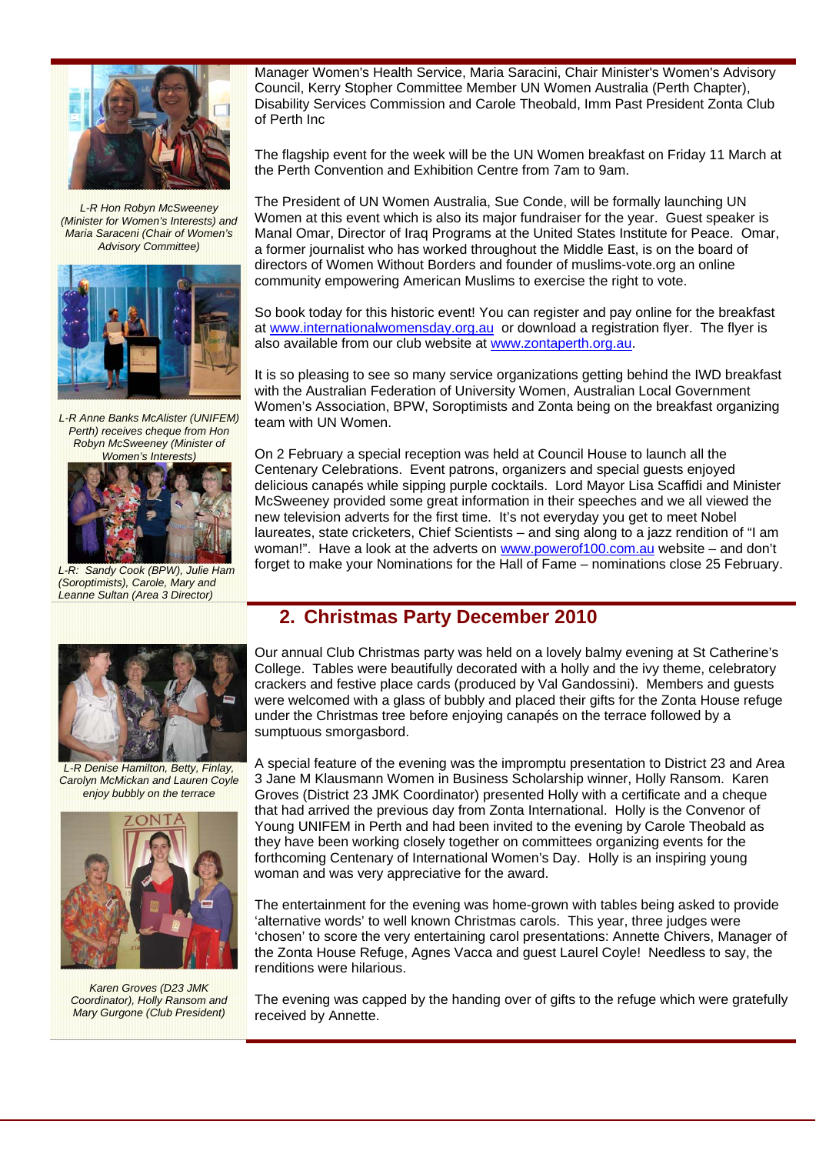

*L-R Hon Robyn McSweeney (Minister for Women's Interests) and Maria Saraceni (Chair of Women's Advisory Committee)* 



*L-R Anne Banks McAlister (UNIFEM) Perth) receives cheque from Hon Robyn McSweeney (Minister of Women's Interests)* 



*L-R: Sandy Cook (BPW), Julie Ham (Soroptimists), Carole, Mary and Leanne Sultan (Area 3 Director)* 

Manager Women's Health Service, Maria Saracini, Chair Minister's Women's Advisory Council, Kerry Stopher Committee Member UN Women Australia (Perth Chapter), Disability Services Commission and Carole Theobald, Imm Past President Zonta Club of Perth Inc

The flagship event for the week will be the UN Women breakfast on Friday 11 March at the Perth Convention and Exhibition Centre from 7am to 9am.

The President of UN Women Australia, Sue Conde, will be formally launching UN Women at this event which is also its major fundraiser for the year. Guest speaker is Manal Omar, Director of Iraq Programs at the United States Institute for Peace. Omar, a former journalist who has worked throughout the Middle East, is on the board of directors of Women Without Borders and founder of muslims-vote.org an online community empowering American Muslims to exercise the right to vote.

So book today for this historic event! You can register and pay online for the breakfast at www.internationalwomensday.org.au or download a registration flyer. The flyer is also available from our club website at www.zontaperth.org.au.

It is so pleasing to see so many service organizations getting behind the IWD breakfast with the Australian Federation of University Women, Australian Local Government Women's Association, BPW, Soroptimists and Zonta being on the breakfast organizing team with UN Women.

On 2 February a special reception was held at Council House to launch all the Centenary Celebrations. Event patrons, organizers and special guests enjoyed delicious canapés while sipping purple cocktails. Lord Mayor Lisa Scaffidi and Minister McSweeney provided some great information in their speeches and we all viewed the new television adverts for the first time. It's not everyday you get to meet Nobel laureates, state cricketers, Chief Scientists – and sing along to a jazz rendition of "I am woman!". Have a look at the adverts on www.powerof100.com.au website – and don't forget to make your Nominations for the Hall of Fame – nominations close 25 February.



*L-R Denise Hamilton, Betty, Finlay, Carolyn McMickan and Lauren Coyle enjoy bubbly on the terrace* 



*Karen Groves (D23 JMK Coordinator), Holly Ransom and Mary Gurgone (Club President)* 

Our annual Club Christmas party was held on a lovely balmy evening at St Catherine's College. Tables were beautifully decorated with a holly and the ivy theme, celebratory crackers and festive place cards (produced by Val Gandossini). Members and guests were welcomed with a glass of bubbly and placed their gifts for the Zonta House refuge under the Christmas tree before enjoying canapés on the terrace followed by a

A special feature of the evening was the impromptu presentation to District 23 and Area 3 Jane M Klausmann Women in Business Scholarship winner, Holly Ransom. Karen Groves (District 23 JMK Coordinator) presented Holly with a certificate and a cheque that had arrived the previous day from Zonta International. Holly is the Convenor of Young UNIFEM in Perth and had been invited to the evening by Carole Theobald as they have been working closely together on committees organizing events for the forthcoming Centenary of International Women's Day. Holly is an inspiring young woman and was very appreciative for the award.

The entertainment for the evening was home-grown with tables being asked to provide 'alternative words' to well known Christmas carols. This year, three judges were 'chosen' to score the very entertaining carol presentations: Annette Chivers, Manager of the Zonta House Refuge, Agnes Vacca and guest Laurel Coyle! Needless to say, the renditions were hilarious.

The evening was capped by the handing over of gifts to the refuge which were gratefully received by Annette.

## **2. Christmas Party December 2010**

sumptuous smorgasbord.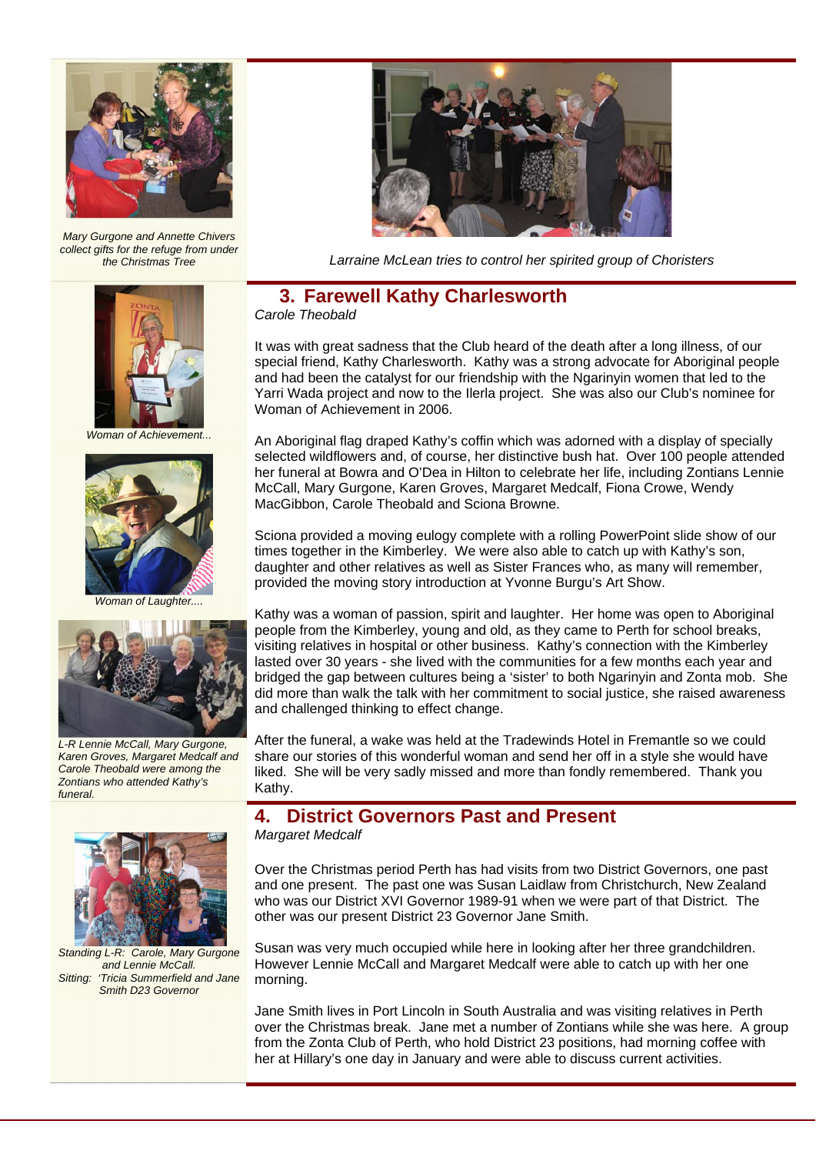

*Mary Gurgone and Annette Chivers collect gifts for the refuge from under* 



*Woman of Achievement...* 



*Woman of Laughter....* 



*L-R Lennie McCall, Mary Gurgone, Karen Groves, Margaret Medcalf and Carole Theobald were among the Zontians who attended Kathy's funeral.* 



*Standing L-R: Carole, Mary Gurgone and Lennie McCall. Sitting: 'Tricia Summerfield and Jane Smith D23 Governor* 



Larraine McLean tries to control her spirited group of Choristers

#### **3. Farewell Kathy Charlesworth**  *Carole Theobald*

It was with great sadness that the Club heard of the death after a long illness, of our special friend, Kathy Charlesworth. Kathy was a strong advocate for Aboriginal people and had been the catalyst for our friendship with the Ngarinyin women that led to the Yarri Wada project and now to the Ilerla project. She was also our Club's nominee for Woman of Achievement in 2006.

An Aboriginal flag draped Kathy's coffin which was adorned with a display of specially selected wildflowers and, of course, her distinctive bush hat. Over 100 people attended her funeral at Bowra and O'Dea in Hilton to celebrate her life, including Zontians Lennie McCall, Mary Gurgone, Karen Groves, Margaret Medcalf, Fiona Crowe, Wendy MacGibbon, Carole Theobald and Sciona Browne.

Sciona provided a moving eulogy complete with a rolling PowerPoint slide show of our times together in the Kimberley. We were also able to catch up with Kathy's son, daughter and other relatives as well as Sister Frances who, as many will remember, provided the moving story introduction at Yvonne Burgu's Art Show.

Kathy was a woman of passion, spirit and laughter. Her home was open to Aboriginal people from the Kimberley, young and old, as they came to Perth for school breaks, visiting relatives in hospital or other business. Kathy's connection with the Kimberley lasted over 30 years - she lived with the communities for a few months each year and bridged the gap between cultures being a 'sister' to both Ngarinyin and Zonta mob. She did more than walk the talk with her commitment to social justice, she raised awareness and challenged thinking to effect change.

After the funeral, a wake was held at the Tradewinds Hotel in Fremantle so we could share our stories of this wonderful woman and send her off in a style she would have liked. She will be very sadly missed and more than fondly remembered. Thank you Kathy.

### **4. District Governors Past and Present**  *Margaret Medcalf*

Over the Christmas period Perth has had visits from two District Governors, one past and one present. The past one was Susan Laidlaw from Christchurch, New Zealand who was our District XVI Governor 1989-91 when we were part of that District. The other was our present District 23 Governor Jane Smith.

Susan was very much occupied while here in looking after her three grandchildren. However Lennie McCall and Margaret Medcalf were able to catch up with her one morning.

Jane Smith lives in Port Lincoln in South Australia and was visiting relatives in Perth over the Christmas break. Jane met a number of Zontians while she was here. A group from the Zonta Club of Perth, who hold District 23 positions, had morning coffee with her at Hillary's one day in January and were able to discuss current activities.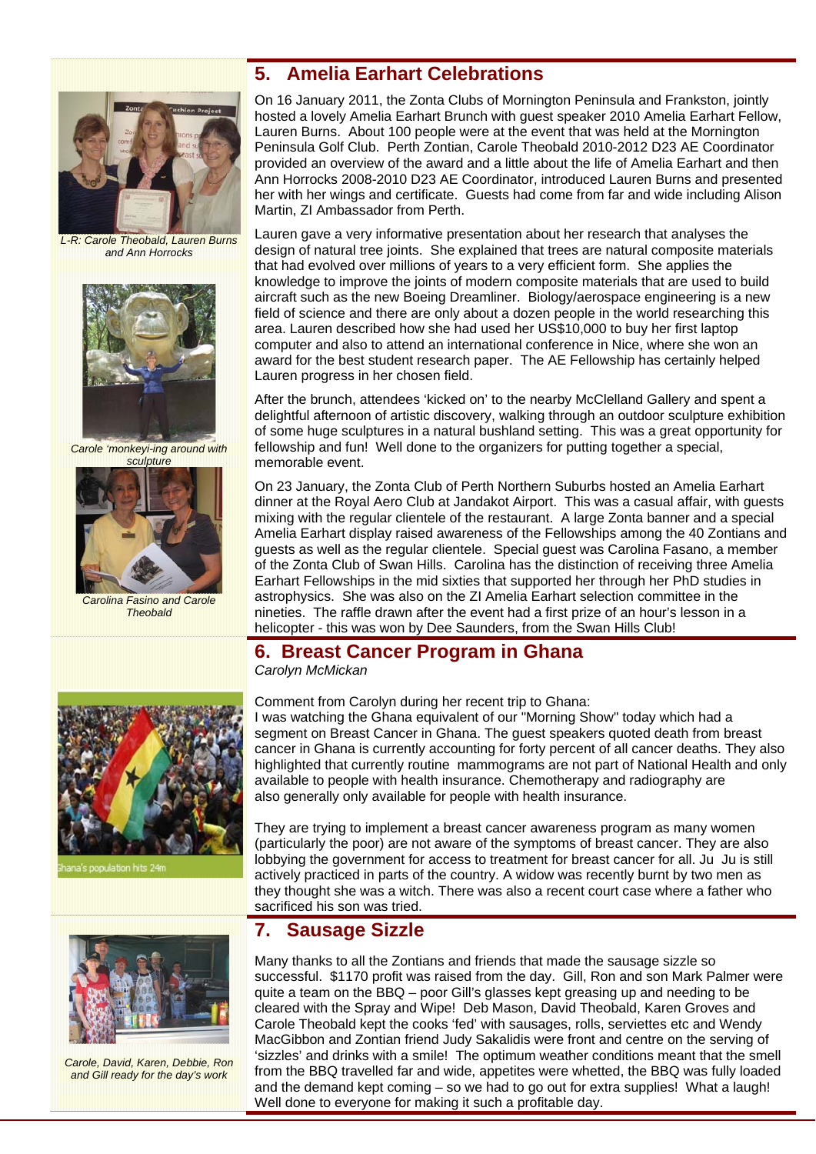

*L-R: Carole Theobald, Lauren Burns and Ann Horrocks* 



*Carole 'monkeyi-ing around with* 



*Carolina Fasino and Carole Theobald* 

## On 16 January 2011, the Zonta Clubs of Mornington Peninsula and Frankston, jointly hosted a lovely Amelia Earhart Brunch with guest speaker 2010 Amelia Earhart Fellow, Lauren Burns. About 100 people were at the event that was held at the Mornington Peninsula Golf Club. Perth Zontian, Carole Theobald 2010-2012 D23 AE Coordinator

**5. Amelia Earhart Celebrations** 

provided an overview of the award and a little about the life of Amelia Earhart and then Ann Horrocks 2008-2010 D23 AE Coordinator, introduced Lauren Burns and presented her with her wings and certificate. Guests had come from far and wide including Alison Martin, ZI Ambassador from Perth.

Lauren gave a very informative presentation about her research that analyses the design of natural tree joints. She explained that trees are natural composite materials that had evolved over millions of years to a very efficient form. She applies the knowledge to improve the joints of modern composite materials that are used to build aircraft such as the new Boeing Dreamliner. Biology/aerospace engineering is a new field of science and there are only about a dozen people in the world researching this area. Lauren described how she had used her US\$10,000 to buy her first laptop computer and also to attend an international conference in Nice, where she won an award for the best student research paper. The AE Fellowship has certainly helped Lauren progress in her chosen field.

After the brunch, attendees 'kicked on' to the nearby McClelland Gallery and spent a delightful afternoon of artistic discovery, walking through an outdoor sculpture exhibition of some huge sculptures in a natural bushland setting. This was a great opportunity for fellowship and fun! Well done to the organizers for putting together a special, memorable event.

On 23 January, the Zonta Club of Perth Northern Suburbs hosted an Amelia Earhart dinner at the Royal Aero Club at Jandakot Airport. This was a casual affair, with guests mixing with the regular clientele of the restaurant. A large Zonta banner and a special Amelia Earhart display raised awareness of the Fellowships among the 40 Zontians and guests as well as the regular clientele. Special guest was Carolina Fasano, a member of the Zonta Club of Swan Hills. Carolina has the distinction of receiving three Amelia Earhart Fellowships in the mid sixties that supported her through her PhD studies in astrophysics. She was also on the ZI Amelia Earhart selection committee in the nineties. The raffle drawn after the event had a first prize of an hour's lesson in a helicopter - this was won by Dee Saunders, from the Swan Hills Club!

## **6. Breast Cancer Program in Ghana**

*Carolyn McMickan* 



pulation hits 24



*Carole, David, Karen, Debbie, Ron and Gill ready for the day's work* 

Comment from Carolyn during her recent trip to Ghana:

I was watching the Ghana equivalent of our "Morning Show" today which had a segment on Breast Cancer in Ghana. The guest speakers quoted death from breast cancer in Ghana is currently accounting for forty percent of all cancer deaths. They also highlighted that currently routine mammograms are not part of National Health and only available to people with health insurance. Chemotherapy and radiography are also generally only available for people with health insurance.

They are trying to implement a breast cancer awareness program as many women (particularly the poor) are not aware of the symptoms of breast cancer. They are also lobbying the government for access to treatment for breast cancer for all. Ju Ju is still actively practiced in parts of the country. A widow was recently burnt by two men as they thought she was a witch. There was also a recent court case where a father who sacrificed his son was tried.

## **7. Sausage Sizzle**

Many thanks to all the Zontians and friends that made the sausage sizzle so successful. \$1170 profit was raised from the day. Gill, Ron and son Mark Palmer were quite a team on the BBQ – poor Gill's glasses kept greasing up and needing to be cleared with the Spray and Wipe! Deb Mason, David Theobald, Karen Groves and Carole Theobald kept the cooks 'fed' with sausages, rolls, serviettes etc and Wendy MacGibbon and Zontian friend Judy Sakalidis were front and centre on the serving of 'sizzles' and drinks with a smile! The optimum weather conditions meant that the smell from the BBQ travelled far and wide, appetites were whetted, the BBQ was fully loaded and the demand kept coming – so we had to go out for extra supplies! What a laugh! Well done to everyone for making it such a profitable day.